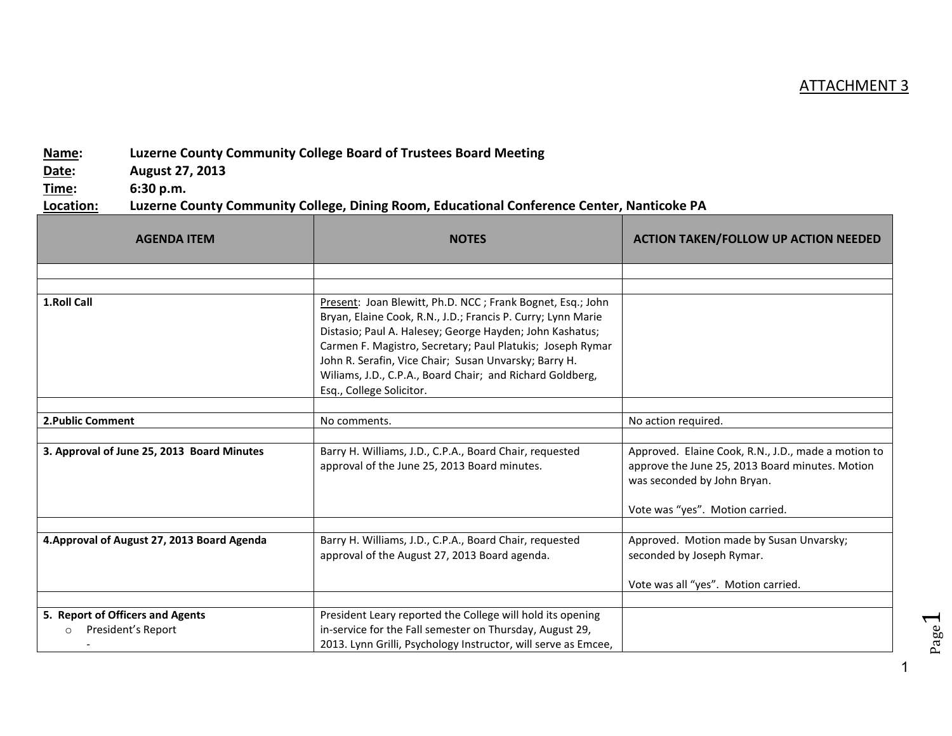## ATTACHMENT 3

## **Name: Luzerne County Community College Board of Trustees Board Meeting**

**Date: August 27, 2013**

**Time: 6:30 p.m.**

## **Location: Luzerne County Community College, Dining Room, Educational Conference Center, Nanticoke PA**

| <b>AGENDA ITEM</b>                                                | <b>NOTES</b>                                                                                                                                                                                                                                                                                                                                                                                           | <b>ACTION TAKEN/FOLLOW UP ACTION NEEDED</b>                                                                                                                              |
|-------------------------------------------------------------------|--------------------------------------------------------------------------------------------------------------------------------------------------------------------------------------------------------------------------------------------------------------------------------------------------------------------------------------------------------------------------------------------------------|--------------------------------------------------------------------------------------------------------------------------------------------------------------------------|
|                                                                   |                                                                                                                                                                                                                                                                                                                                                                                                        |                                                                                                                                                                          |
|                                                                   |                                                                                                                                                                                                                                                                                                                                                                                                        |                                                                                                                                                                          |
| 1.Roll Call                                                       | Present: Joan Blewitt, Ph.D. NCC; Frank Bognet, Esq.; John<br>Bryan, Elaine Cook, R.N., J.D.; Francis P. Curry; Lynn Marie<br>Distasio; Paul A. Halesey; George Hayden; John Kashatus;<br>Carmen F. Magistro, Secretary; Paul Platukis; Joseph Rymar<br>John R. Serafin, Vice Chair; Susan Unvarsky; Barry H.<br>Wiliams, J.D., C.P.A., Board Chair; and Richard Goldberg,<br>Esq., College Solicitor. |                                                                                                                                                                          |
|                                                                   |                                                                                                                                                                                                                                                                                                                                                                                                        |                                                                                                                                                                          |
| <b>2. Public Comment</b>                                          | No comments.                                                                                                                                                                                                                                                                                                                                                                                           | No action required.                                                                                                                                                      |
| 3. Approval of June 25, 2013 Board Minutes                        | Barry H. Williams, J.D., C.P.A., Board Chair, requested<br>approval of the June 25, 2013 Board minutes.                                                                                                                                                                                                                                                                                                | Approved. Elaine Cook, R.N., J.D., made a motion to<br>approve the June 25, 2013 Board minutes. Motion<br>was seconded by John Bryan.<br>Vote was "yes". Motion carried. |
|                                                                   |                                                                                                                                                                                                                                                                                                                                                                                                        |                                                                                                                                                                          |
| 4. Approval of August 27, 2013 Board Agenda                       | Barry H. Williams, J.D., C.P.A., Board Chair, requested<br>approval of the August 27, 2013 Board agenda.                                                                                                                                                                                                                                                                                               | Approved. Motion made by Susan Unvarsky;<br>seconded by Joseph Rymar.                                                                                                    |
|                                                                   |                                                                                                                                                                                                                                                                                                                                                                                                        | Vote was all "yes". Motion carried.                                                                                                                                      |
|                                                                   |                                                                                                                                                                                                                                                                                                                                                                                                        |                                                                                                                                                                          |
| 5. Report of Officers and Agents<br>President's Report<br>$\circ$ | President Leary reported the College will hold its opening<br>in-service for the Fall semester on Thursday, August 29,<br>2013. Lynn Grilli, Psychology Instructor, will serve as Emcee,                                                                                                                                                                                                               |                                                                                                                                                                          |

1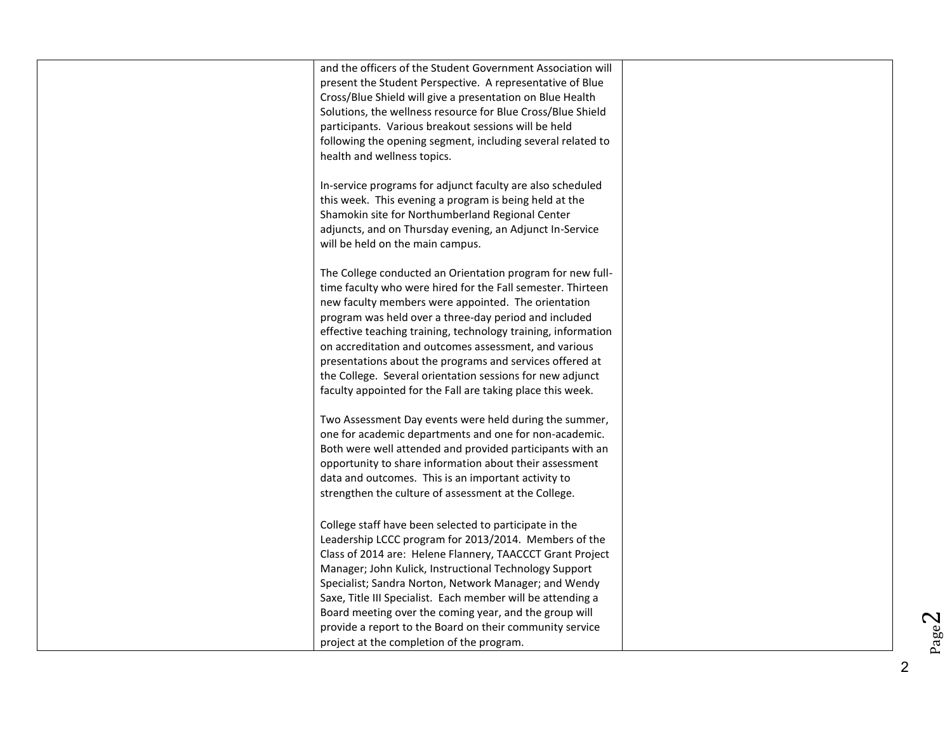| and the officers of the Student Government Association will   |  |
|---------------------------------------------------------------|--|
| present the Student Perspective. A representative of Blue     |  |
| Cross/Blue Shield will give a presentation on Blue Health     |  |
| Solutions, the wellness resource for Blue Cross/Blue Shield   |  |
| participants. Various breakout sessions will be held          |  |
| following the opening segment, including several related to   |  |
| health and wellness topics.                                   |  |
|                                                               |  |
| In-service programs for adjunct faculty are also scheduled    |  |
| this week. This evening a program is being held at the        |  |
| Shamokin site for Northumberland Regional Center              |  |
| adjuncts, and on Thursday evening, an Adjunct In-Service      |  |
| will be held on the main campus.                              |  |
|                                                               |  |
| The College conducted an Orientation program for new full-    |  |
| time faculty who were hired for the Fall semester. Thirteen   |  |
| new faculty members were appointed. The orientation           |  |
| program was held over a three-day period and included         |  |
| effective teaching training, technology training, information |  |
| on accreditation and outcomes assessment, and various         |  |
| presentations about the programs and services offered at      |  |
| the College. Several orientation sessions for new adjunct     |  |
| faculty appointed for the Fall are taking place this week.    |  |
| Two Assessment Day events were held during the summer,        |  |
| one for academic departments and one for non-academic.        |  |
| Both were well attended and provided participants with an     |  |
| opportunity to share information about their assessment       |  |
| data and outcomes. This is an important activity to           |  |
| strengthen the culture of assessment at the College.          |  |
|                                                               |  |
| College staff have been selected to participate in the        |  |
| Leadership LCCC program for 2013/2014. Members of the         |  |
| Class of 2014 are: Helene Flannery, TAACCCT Grant Project     |  |
| Manager; John Kulick, Instructional Technology Support        |  |
| Specialist; Sandra Norton, Network Manager; and Wendy         |  |
| Saxe, Title III Specialist. Each member will be attending a   |  |
| Board meeting over the coming year, and the group will        |  |
| provide a report to the Board on their community service      |  |
| project at the completion of the program.                     |  |
|                                                               |  |

 $Page2$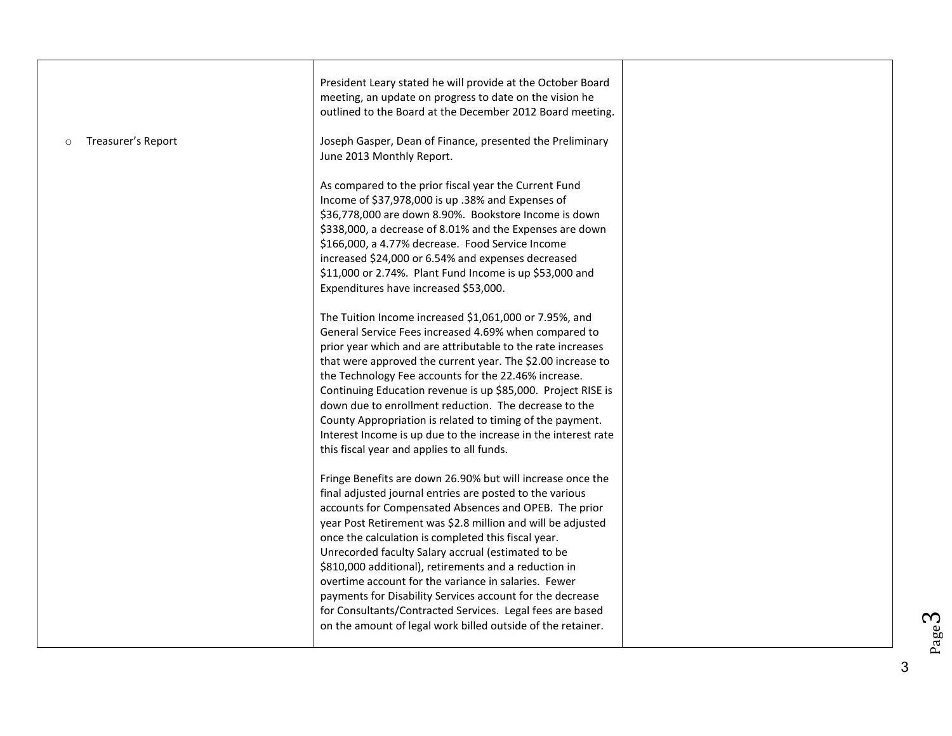|                               | President Leary stated he will provide at the October Board<br>meeting, an update on progress to date on the vision he<br>outlined to the Board at the December 2012 Board meeting.                                                                                                                                                                                                                                                                                                                                                                                                                                                                                                                                                                                                      |  |
|-------------------------------|------------------------------------------------------------------------------------------------------------------------------------------------------------------------------------------------------------------------------------------------------------------------------------------------------------------------------------------------------------------------------------------------------------------------------------------------------------------------------------------------------------------------------------------------------------------------------------------------------------------------------------------------------------------------------------------------------------------------------------------------------------------------------------------|--|
| Treasurer's Report<br>$\circ$ | Joseph Gasper, Dean of Finance, presented the Preliminary<br>June 2013 Monthly Report.<br>As compared to the prior fiscal year the Current Fund<br>Income of \$37,978,000 is up .38% and Expenses of<br>\$36,778,000 are down 8.90%. Bookstore Income is down<br>\$338,000, a decrease of 8.01% and the Expenses are down<br>\$166,000, a 4.77% decrease. Food Service Income<br>increased \$24,000 or 6.54% and expenses decreased<br>\$11,000 or 2.74%. Plant Fund Income is up \$53,000 and<br>Expenditures have increased \$53,000.<br>The Tuition Income increased \$1,061,000 or 7.95%, and<br>General Service Fees increased 4.69% when compared to<br>prior year which and are attributable to the rate increases<br>that were approved the current year. The \$2.00 increase to |  |
|                               | the Technology Fee accounts for the 22.46% increase.<br>Continuing Education revenue is up \$85,000. Project RISE is<br>down due to enrollment reduction. The decrease to the<br>County Appropriation is related to timing of the payment.<br>Interest Income is up due to the increase in the interest rate<br>this fiscal year and applies to all funds.<br>Fringe Benefits are down 26.90% but will increase once the                                                                                                                                                                                                                                                                                                                                                                 |  |
|                               | final adjusted journal entries are posted to the various<br>accounts for Compensated Absences and OPEB. The prior<br>year Post Retirement was \$2.8 million and will be adjusted<br>once the calculation is completed this fiscal year.<br>Unrecorded faculty Salary accrual (estimated to be<br>\$810,000 additional), retirements and a reduction in<br>overtime account for the variance in salaries. Fewer<br>payments for Disability Services account for the decrease<br>for Consultants/Contracted Services. Legal fees are based<br>on the amount of legal work billed outside of the retainer.                                                                                                                                                                                  |  |

3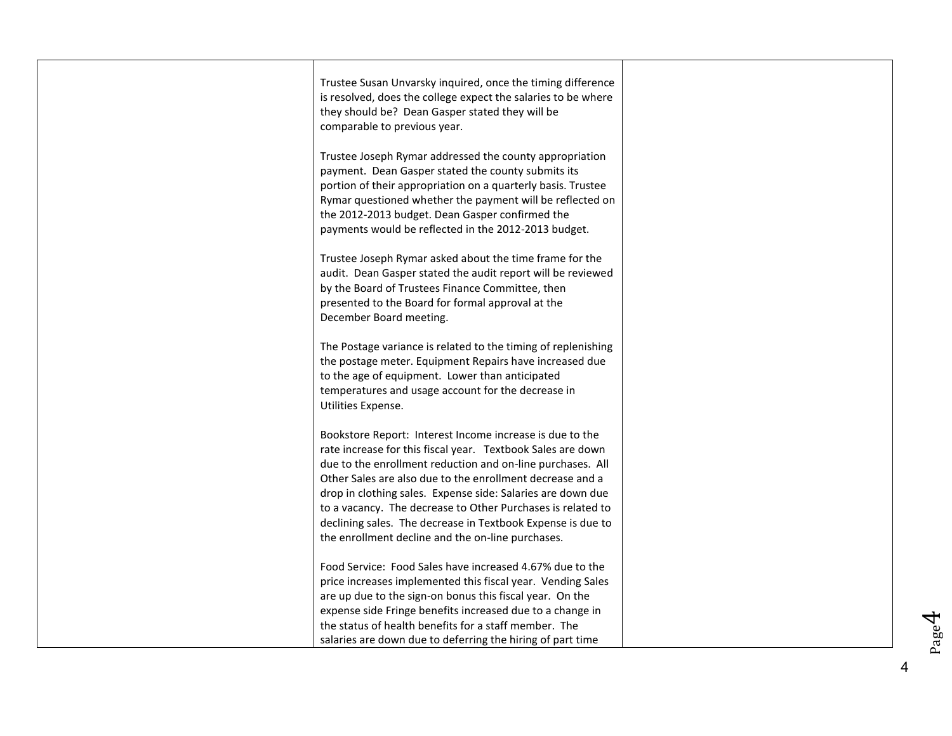| Trustee Susan Unvarsky inquired, once the timing difference<br>is resolved, does the college expect the salaries to be where<br>they should be? Dean Gasper stated they will be<br>comparable to previous year.                                                                                                                                                                                                                                                                                      |  |
|------------------------------------------------------------------------------------------------------------------------------------------------------------------------------------------------------------------------------------------------------------------------------------------------------------------------------------------------------------------------------------------------------------------------------------------------------------------------------------------------------|--|
| Trustee Joseph Rymar addressed the county appropriation<br>payment. Dean Gasper stated the county submits its<br>portion of their appropriation on a quarterly basis. Trustee<br>Rymar questioned whether the payment will be reflected on<br>the 2012-2013 budget. Dean Gasper confirmed the<br>payments would be reflected in the 2012-2013 budget.                                                                                                                                                |  |
| Trustee Joseph Rymar asked about the time frame for the<br>audit. Dean Gasper stated the audit report will be reviewed<br>by the Board of Trustees Finance Committee, then<br>presented to the Board for formal approval at the<br>December Board meeting.                                                                                                                                                                                                                                           |  |
| The Postage variance is related to the timing of replenishing<br>the postage meter. Equipment Repairs have increased due<br>to the age of equipment. Lower than anticipated<br>temperatures and usage account for the decrease in<br>Utilities Expense.                                                                                                                                                                                                                                              |  |
| Bookstore Report: Interest Income increase is due to the<br>rate increase for this fiscal year. Textbook Sales are down<br>due to the enrollment reduction and on-line purchases. All<br>Other Sales are also due to the enrollment decrease and a<br>drop in clothing sales. Expense side: Salaries are down due<br>to a vacancy. The decrease to Other Purchases is related to<br>declining sales. The decrease in Textbook Expense is due to<br>the enrollment decline and the on-line purchases. |  |
| Food Service: Food Sales have increased 4.67% due to the<br>price increases implemented this fiscal year. Vending Sales<br>are up due to the sign-on bonus this fiscal year. On the<br>expense side Fringe benefits increased due to a change in<br>the status of health benefits for a staff member. The<br>salaries are down due to deferring the hiring of part time                                                                                                                              |  |

Page4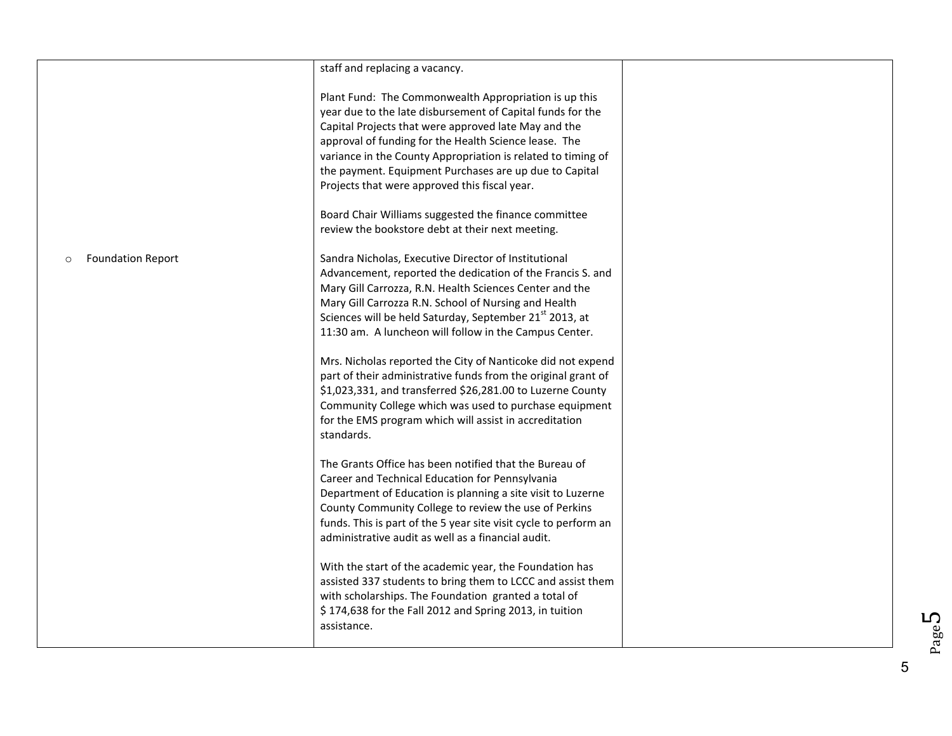|                                     | staff and replacing a vacancy.                                                                                                                                                                                                                                                                                                                                                                                  |  |
|-------------------------------------|-----------------------------------------------------------------------------------------------------------------------------------------------------------------------------------------------------------------------------------------------------------------------------------------------------------------------------------------------------------------------------------------------------------------|--|
|                                     | Plant Fund: The Commonwealth Appropriation is up this<br>year due to the late disbursement of Capital funds for the<br>Capital Projects that were approved late May and the<br>approval of funding for the Health Science lease. The<br>variance in the County Appropriation is related to timing of<br>the payment. Equipment Purchases are up due to Capital<br>Projects that were approved this fiscal year. |  |
|                                     | Board Chair Williams suggested the finance committee<br>review the bookstore debt at their next meeting.                                                                                                                                                                                                                                                                                                        |  |
| <b>Foundation Report</b><br>$\circ$ | Sandra Nicholas, Executive Director of Institutional<br>Advancement, reported the dedication of the Francis S. and<br>Mary Gill Carrozza, R.N. Health Sciences Center and the<br>Mary Gill Carrozza R.N. School of Nursing and Health<br>Sciences will be held Saturday, September 21 <sup>st</sup> 2013, at<br>11:30 am. A luncheon will follow in the Campus Center.                                          |  |
|                                     | Mrs. Nicholas reported the City of Nanticoke did not expend<br>part of their administrative funds from the original grant of<br>\$1,023,331, and transferred \$26,281.00 to Luzerne County<br>Community College which was used to purchase equipment<br>for the EMS program which will assist in accreditation<br>standards.                                                                                    |  |
|                                     | The Grants Office has been notified that the Bureau of<br>Career and Technical Education for Pennsylvania<br>Department of Education is planning a site visit to Luzerne<br>County Community College to review the use of Perkins<br>funds. This is part of the 5 year site visit cycle to perform an<br>administrative audit as well as a financial audit.                                                     |  |
|                                     | With the start of the academic year, the Foundation has<br>assisted 337 students to bring them to LCCC and assist them<br>with scholarships. The Foundation granted a total of<br>\$174,638 for the Fall 2012 and Spring 2013, in tuition<br>assistance.                                                                                                                                                        |  |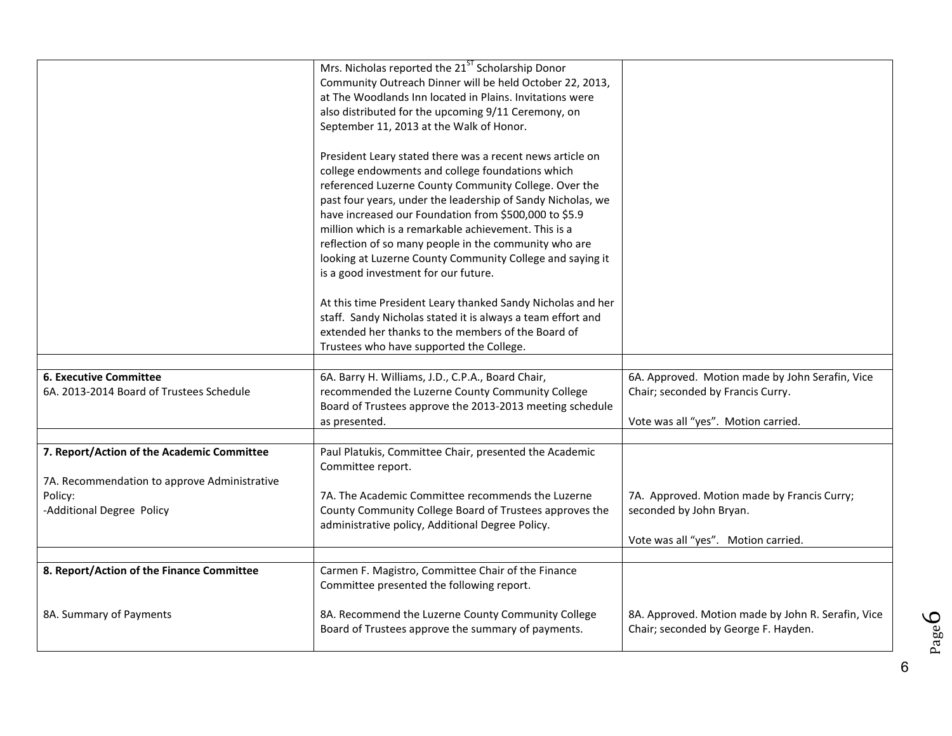|                                                                                            | Mrs. Nicholas reported the 21 <sup>ST</sup> Scholarship Donor<br>Community Outreach Dinner will be held October 22, 2013,<br>at The Woodlands Inn located in Plains. Invitations were<br>also distributed for the upcoming 9/11 Ceremony, on<br>September 11, 2013 at the Walk of Honor.<br>President Leary stated there was a recent news article on<br>college endowments and college foundations which<br>referenced Luzerne County Community College. Over the<br>past four years, under the leadership of Sandy Nicholas, we<br>have increased our Foundation from \$500,000 to \$5.9 |                                                                                                               |
|--------------------------------------------------------------------------------------------|--------------------------------------------------------------------------------------------------------------------------------------------------------------------------------------------------------------------------------------------------------------------------------------------------------------------------------------------------------------------------------------------------------------------------------------------------------------------------------------------------------------------------------------------------------------------------------------------|---------------------------------------------------------------------------------------------------------------|
|                                                                                            | million which is a remarkable achievement. This is a<br>reflection of so many people in the community who are<br>looking at Luzerne County Community College and saying it<br>is a good investment for our future.                                                                                                                                                                                                                                                                                                                                                                         |                                                                                                               |
|                                                                                            | At this time President Leary thanked Sandy Nicholas and her<br>staff. Sandy Nicholas stated it is always a team effort and<br>extended her thanks to the members of the Board of<br>Trustees who have supported the College.                                                                                                                                                                                                                                                                                                                                                               |                                                                                                               |
|                                                                                            |                                                                                                                                                                                                                                                                                                                                                                                                                                                                                                                                                                                            |                                                                                                               |
| <b>6. Executive Committee</b><br>6A. 2013-2014 Board of Trustees Schedule                  | 6A. Barry H. Williams, J.D., C.P.A., Board Chair,<br>recommended the Luzerne County Community College<br>Board of Trustees approve the 2013-2013 meeting schedule                                                                                                                                                                                                                                                                                                                                                                                                                          | 6A. Approved. Motion made by John Serafin, Vice<br>Chair; seconded by Francis Curry.                          |
|                                                                                            | as presented.                                                                                                                                                                                                                                                                                                                                                                                                                                                                                                                                                                              | Vote was all "yes". Motion carried.                                                                           |
| 7. Report/Action of the Academic Committee<br>7A. Recommendation to approve Administrative | Paul Platukis, Committee Chair, presented the Academic<br>Committee report.                                                                                                                                                                                                                                                                                                                                                                                                                                                                                                                |                                                                                                               |
| Policy:<br>-Additional Degree Policy                                                       | 7A. The Academic Committee recommends the Luzerne<br>County Community College Board of Trustees approves the<br>administrative policy, Additional Degree Policy.                                                                                                                                                                                                                                                                                                                                                                                                                           | 7A. Approved. Motion made by Francis Curry;<br>seconded by John Bryan.<br>Vote was all "yes". Motion carried. |
|                                                                                            |                                                                                                                                                                                                                                                                                                                                                                                                                                                                                                                                                                                            |                                                                                                               |
| 8. Report/Action of the Finance Committee                                                  | Carmen F. Magistro, Committee Chair of the Finance<br>Committee presented the following report.                                                                                                                                                                                                                                                                                                                                                                                                                                                                                            |                                                                                                               |
| 8A. Summary of Payments                                                                    | 8A. Recommend the Luzerne County Community College<br>Board of Trustees approve the summary of payments.                                                                                                                                                                                                                                                                                                                                                                                                                                                                                   | 8A. Approved. Motion made by John R. Serafin, Vice<br>Chair; seconded by George F. Hayden.                    |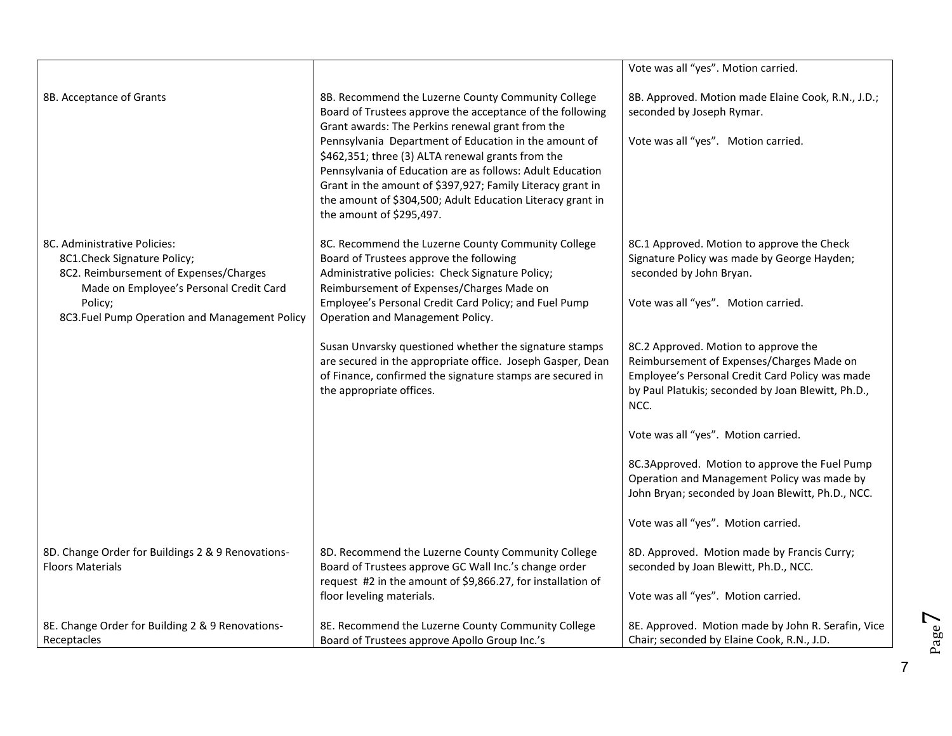|                                                                                                                                                                                                               |                                                                                                                                                                                                                                                                                                                                                                                                                                                                                                              | Vote was all "yes". Motion carried.                                                                                                                                                                                                                                                                                                                                                                                                                                                                                                                           |
|---------------------------------------------------------------------------------------------------------------------------------------------------------------------------------------------------------------|--------------------------------------------------------------------------------------------------------------------------------------------------------------------------------------------------------------------------------------------------------------------------------------------------------------------------------------------------------------------------------------------------------------------------------------------------------------------------------------------------------------|---------------------------------------------------------------------------------------------------------------------------------------------------------------------------------------------------------------------------------------------------------------------------------------------------------------------------------------------------------------------------------------------------------------------------------------------------------------------------------------------------------------------------------------------------------------|
| 8B. Acceptance of Grants                                                                                                                                                                                      | 8B. Recommend the Luzerne County Community College<br>Board of Trustees approve the acceptance of the following<br>Grant awards: The Perkins renewal grant from the<br>Pennsylvania Department of Education in the amount of<br>\$462,351; three (3) ALTA renewal grants from the<br>Pennsylvania of Education are as follows: Adult Education<br>Grant in the amount of \$397,927; Family Literacy grant in<br>the amount of \$304,500; Adult Education Literacy grant in<br>the amount of \$295,497.       | 8B. Approved. Motion made Elaine Cook, R.N., J.D.;<br>seconded by Joseph Rymar.<br>Vote was all "yes". Motion carried.                                                                                                                                                                                                                                                                                                                                                                                                                                        |
| 8C. Administrative Policies:<br>8C1.Check Signature Policy;<br>8C2. Reimbursement of Expenses/Charges<br>Made on Employee's Personal Credit Card<br>Policy;<br>8C3. Fuel Pump Operation and Management Policy | 8C. Recommend the Luzerne County Community College<br>Board of Trustees approve the following<br>Administrative policies: Check Signature Policy;<br>Reimbursement of Expenses/Charges Made on<br>Employee's Personal Credit Card Policy; and Fuel Pump<br>Operation and Management Policy.<br>Susan Unvarsky questioned whether the signature stamps<br>are secured in the appropriate office. Joseph Gasper, Dean<br>of Finance, confirmed the signature stamps are secured in<br>the appropriate offices. | 8C.1 Approved. Motion to approve the Check<br>Signature Policy was made by George Hayden;<br>seconded by John Bryan.<br>Vote was all "yes". Motion carried.<br>8C.2 Approved. Motion to approve the<br>Reimbursement of Expenses/Charges Made on<br>Employee's Personal Credit Card Policy was made<br>by Paul Platukis; seconded by Joan Blewitt, Ph.D.,<br>NCC.<br>Vote was all "yes". Motion carried.<br>8C.3Approved. Motion to approve the Fuel Pump<br>Operation and Management Policy was made by<br>John Bryan; seconded by Joan Blewitt, Ph.D., NCC. |
| 8D. Change Order for Buildings 2 & 9 Renovations-<br><b>Floors Materials</b>                                                                                                                                  | 8D. Recommend the Luzerne County Community College<br>Board of Trustees approve GC Wall Inc.'s change order<br>request #2 in the amount of \$9,866.27, for installation of<br>floor leveling materials.                                                                                                                                                                                                                                                                                                      | Vote was all "yes". Motion carried.<br>8D. Approved. Motion made by Francis Curry;<br>seconded by Joan Blewitt, Ph.D., NCC.<br>Vote was all "yes". Motion carried.                                                                                                                                                                                                                                                                                                                                                                                            |
| 8E. Change Order for Building 2 & 9 Renovations-<br>Receptacles                                                                                                                                               | 8E. Recommend the Luzerne County Community College<br>Board of Trustees approve Apollo Group Inc.'s                                                                                                                                                                                                                                                                                                                                                                                                          | 8E. Approved. Motion made by John R. Serafin, Vice<br>Chair; seconded by Elaine Cook, R.N., J.D.                                                                                                                                                                                                                                                                                                                                                                                                                                                              |